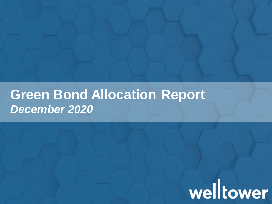### **Green Bond Allocation Report** *December 2020*

## welltower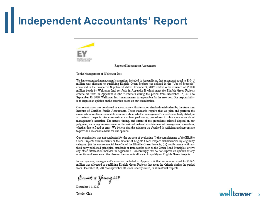#### **Independent Accountants' Report**

working work

Report of Independent Accountants

To the Management of Welltower Inc.:

We have examined management's assertion, included in Appendix A, that an amount equal to \$104.5 million was allocated to qualifying Eligible Green Projects (as defined in the "Use of Proceeds" contained in the Prospectus Supplement dated December 9, 2019 related to the issuance of \$500.0 million bonds by Welltower Inc) set forth in Appendix B which meet the Eligible Green Projects criteria set forth in Appendix A (the "Criteria") during the period from December 16, 2017 to September 30, 2020. Welltower Inc.'s management is responsible for the assertion. Our responsibility is to express an opinion on the assertion based on our examination.

Our examination was conducted in accordance with attestation standards established by the American Institute of Certified Public Accountants. Those standards require that we plan and perform the examination to obtain reasonable assurance about whether management's assertion is fairly stated, in all material respects. An examination involves performing procedures to obtain evidence about management's assertion. The nature, timing, and extent of the procedures selected depend on our judgment, including an assessment of the risks of material misstatement of management's assertion, whether due to fraud or error. We believe that the evidence we obtained is sufficient and appropriate to provide a reasonable basis for our opinion.

Our examination was not conducted for the purpose of evaluating (i) the completeness of the Eligible Green Projects disbursements or the amount of Eligible Green Project disbursements by eligibility category, (ii) the environmental benefits of the Eligible Green Projects, (iii) conformance with any third party published principles, standards or frameworks such as the Green Bond Principles, or (iv) any other information included in Appendix C. Accordingly, we do not express an opinion or any other form of assurance other than on the amounts allocated to qualifying Eligible Green Projects.

In our opinion, management's assertion included in Appendix A that an amount equal to \$104.5 million was allocated to qualifying Eligible Green Projects that meet the Criteria during the period from December 16, 2017 to September 30, 2020 is fairly stated, in all material respects.

Ernet + Young LLP

December 11, 2020

Toledo, Ohio

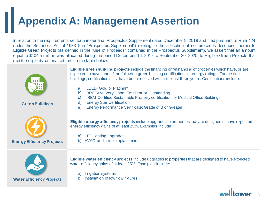### **Appendix A: Management Assertion**

In relation to the requirements set forth in our final Prospectus Supplement dated December 9, 2019 and filed pursuant to Rule 424 under the Securities Act of 1933 (the "Prospectus Supplement") relating to the allocation of net proceeds described therein to Eligible Green Projects (as defined in the "Use of Proceeds" contained in the Prospectus Supplement), we assert that an amount equal to \$104.5 million was allocated during the period December 16, 2017 to September 30, 2020, to Eligible Green Projects that met the eligibility criteria set forth in the table below.

| <b>Green Buildings</b>            | Eligible green building projects include the financing or refinancing of properties which have, or are<br>expected to have, one of the following green building certifications or energy ratings. For existing<br>buildings, certification must have been received within the last three years. Certifications include:<br><b>LEED: Gold or Platinum</b><br>a)<br>b)<br><b>BREEAM: Very Good, Excellent or Outstanding</b><br>IREM Certified Sustainable Property certification for Medical Office Buildings<br>C)<br><b>Energy Star Certification</b><br>d)<br>Energy Performance Certificate: Grade of B or Greater<br>$\epsilon$ |
|-----------------------------------|-------------------------------------------------------------------------------------------------------------------------------------------------------------------------------------------------------------------------------------------------------------------------------------------------------------------------------------------------------------------------------------------------------------------------------------------------------------------------------------------------------------------------------------------------------------------------------------------------------------------------------------|
| <b>Energy Efficiency Projects</b> | Eligible energy efficiency projects include upgrades to properties that are designed to have expected<br>energy efficiency gains of at least 25%. Examples include:<br><b>LED lighting upgrades</b><br>a)<br>HVAC and chiller replacements<br>b)                                                                                                                                                                                                                                                                                                                                                                                    |
| <b>Water Efficiency Projects</b>  | Eligible water efficiency projects include upgrades to properties that are designed to have expected<br>water efficiency gains of at least 25%. Examples include:<br><b>Irrigation systems</b><br>a)<br>Installation of low flow fixtures<br>b)                                                                                                                                                                                                                                                                                                                                                                                     |

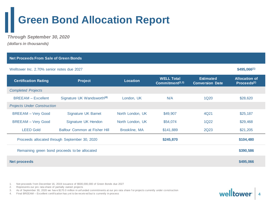#### **Green Bond Allocation Report**

*Through September 30, 2020 (dollars in thousands)*

| <b>Net Proceeds From Sale of Green Bonds</b>               |                                        |                  |                                                  |                                            |                                                 |  |
|------------------------------------------------------------|----------------------------------------|------------------|--------------------------------------------------|--------------------------------------------|-------------------------------------------------|--|
| Welltower Inc. 2.70% senior notes due 2027                 |                                        |                  |                                                  |                                            |                                                 |  |
| <b>Certification Rating</b>                                | <b>Project</b>                         | <b>Location</b>  | <b>WELL Total</b><br>Commitment <sup>(2,3)</sup> | <b>Estimated</b><br><b>Conversion Date</b> | <b>Allocation of</b><br>Proceeds <sup>(2)</sup> |  |
| <b>Completed Projects</b>                                  |                                        |                  |                                                  |                                            |                                                 |  |
| <b>BREEAM - Excellent</b>                                  | Signature UK Wandsworth <sup>(4)</sup> | London, UK       | N/A                                              | 1Q <sub>20</sub>                           | \$28,620                                        |  |
| <b>Projects Under Construction</b>                         |                                        |                  |                                                  |                                            |                                                 |  |
| <b>BREEAM - Very Good</b>                                  | <b>Signature UK Barnet</b>             | North London, UK | \$49,907                                         | 4Q21                                       | \$25,187                                        |  |
| <b>BREEAM - Very Good</b>                                  | Signature UK Hendon                    | North London, UK | \$54,074                                         | 1Q22                                       | \$29,468                                        |  |
| <b>LEED Gold</b>                                           | Balfour Common at Fisher Hill          | Brookline, MA    | \$141,889                                        | 2Q23                                       | \$21,205                                        |  |
| Proceeds allocated through September 30, 2020<br>\$245,870 |                                        |                  |                                                  |                                            |                                                 |  |
| Remaining green bond proceeds to be allocated              |                                        |                  |                                                  |                                            |                                                 |  |
| <b>Net proceeds</b>                                        |                                        |                  |                                                  |                                            |                                                 |  |

1. Net proceeds f rom December 16, 2019 issuance of \$500,000,000 of Green Bonds due 2027

2. Represents our pro rata share of partially owned projects

3. As of September 30, 2020 we have \$170.0 million in unfunded commitments at our pro rata share for projects currently under construction

4. Final BREEAM – Excellent certif ication has y et to be receiv ed but is currently in process

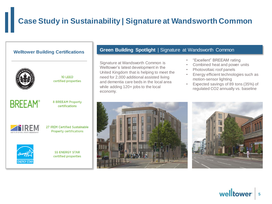#### **Case Study in Sustainability | Signature at Wandsworth Common**



 $10$  LFFD certified properties



**8 BREEAM Property** certifications



27 IREM Certified Sustainable **Property certifications** 



**55 ENERGY STAR** certified properties

#### **Welltower Building Certifications <b>Green Building Spotlight** | Signature at Wandsworth Common

Signature at Wandsworth Common is Welltower's latest development in the United Kingdom that is helping to meet the need for 2,000 additional assisted living and dementia care beds in the local area while adding 120+ jobs to the local economy.

- "Excellent" BREEAM rating
- Combined heat and power units
- Photovoltaic roof panels
- Energy efficient technologies such as motion-sensor lighting
- Expected savings of 89 tons (35%) of regulated CO2 annually vs. baseline